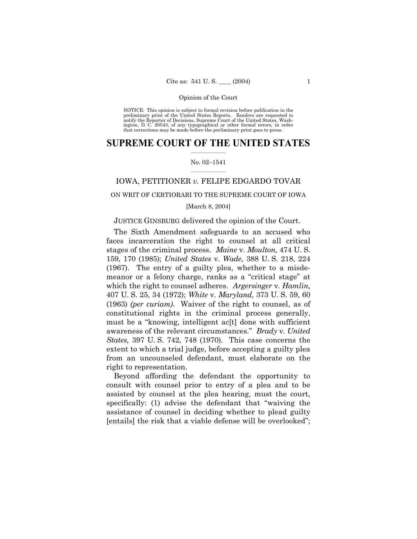NOTICE: This opinion is subject to formal revision before publication in the<br>preliminary print of the United States Reports. Readers are requested to<br>notify the Reporter of Decisions, Supreme Court of the United States, Wa ington, D. C. 20543, of any typographical or other formal errors, in order that corrections may be made before the preliminary print goes to press.

### **SUPREME COURT OF THE UNITED STATES**  $\mathcal{L}=\mathcal{L}^{\mathcal{L}}$

### No. 02-1541  $\frac{1}{2}$  ,  $\frac{1}{2}$  ,  $\frac{1}{2}$  ,  $\frac{1}{2}$  ,  $\frac{1}{2}$  ,  $\frac{1}{2}$

# IOWA, PETITIONER *v.* FELIPE EDGARDO TOVAR

# ON WRIT OF CERTIORARI TO THE SUPREME COURT OF IOWA

# [March 8, 2004]

### JUSTICE GINSBURG delivered the opinion of the Court.

The Sixth Amendment safeguards to an accused who faces incarceration the right to counsel at all critical stages of the criminal process. *Maine* v. *Moulton,* 474 U. S. 159, 170 (1985); *United States* v. *Wade,* 388 U. S. 218, 224 (1967). The entry of a guilty plea, whether to a misdemeanor or a felony charge, ranks as a "critical stage" at which the right to counsel adheres. *Argersinger* v. *Hamlin,* 407 U. S. 25, 34 (1972); *White* v. *Maryland,* 373 U. S. 59, 60 (1963) *(per curiam)*. Waiver of the right to counsel, as of constitutional rights in the criminal process generally, must be a "knowing, intelligent ac $[t]$  done with sufficient awareness of the relevant circumstances.î *Brady* v. *United States,* 397 U. S. 742, 748 (1970). This case concerns the extent to which a trial judge, before accepting a guilty plea from an uncounseled defendant, must elaborate on the right to representation.

Beyond affording the defendant the opportunity to consult with counsel prior to entry of a plea and to be assisted by counsel at the plea hearing, must the court, specifically:  $(1)$  advise the defendant that "waiving the assistance of counsel in deciding whether to plead guilty [entails] the risk that a viable defense will be overlooked";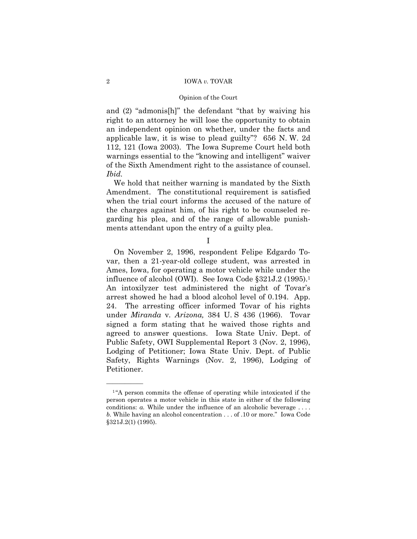# Opinion of the Court

and  $(2)$  "admonis[h]" the defendant "that by waiving his right to an attorney he will lose the opportunity to obtain an independent opinion on whether, under the facts and applicable law, it is wise to plead guilty"?  $656$  N.W. 2d 112, 121 (Iowa 2003). The Iowa Supreme Court held both warnings essential to the "knowing and intelligent" waiver of the Sixth Amendment right to the assistance of counsel. *Ibid.*

We hold that neither warning is mandated by the Sixth Amendment. The constitutional requirement is satisfied when the trial court informs the accused of the nature of the charges against him, of his right to be counseled regarding his plea, and of the range of allowable punishments attendant upon the entry of a guilty plea.

I

On November 2, 1996, respondent Felipe Edgardo Tovar, then a 21-year-old college student, was arrested in Ames, Iowa, for operating a motor vehicle while under the influence of alcohol (OWI). See Iowa Code  $\S 321J.2$  (1995).<sup>1</sup> An intoxilyzer test administered the night of Tovar's arrest showed he had a blood alcohol level of 0.194. App. 24. The arresting officer informed Tovar of his rights under *Miranda* v*. Arizona,* 384 U. S 436 (1966). Tovar signed a form stating that he waived those rights and agreed to answer questions. Iowa State Univ. Dept. of Public Safety, OWI Supplemental Report 3 (Nov. 2, 1996), Lodging of Petitioner; Iowa State Univ. Dept. of Public Safety, Rights Warnings (Nov. 2, 1996), Lodging of Petitioner.

 $1$ <sup>"</sup>A person commits the offense of operating while intoxicated if the person operates a motor vehicle in this state in either of the following conditions: *a*. While under the influence of an alcoholic beverage .... *b.* While having an alcohol concentration . . . of .10 or more." Iowa Code ß321J.2(1) (1995).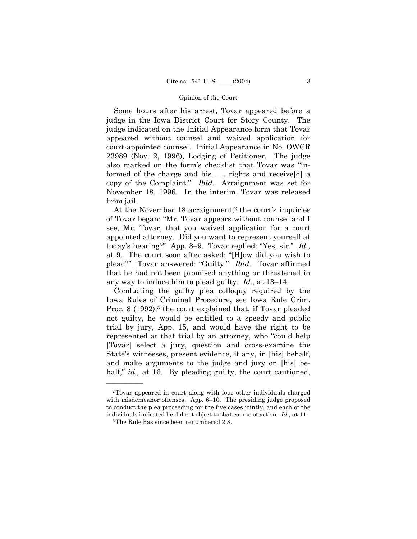Some hours after his arrest, Tovar appeared before a judge in the Iowa District Court for Story County. The judge indicated on the Initial Appearance form that Tovar appeared without counsel and waived application for court-appointed counsel. Initial Appearance in No. OWCR 23989 (Nov. 2, 1996), Lodging of Petitioner. The judge also marked on the form's checklist that Tovar was "informed of the charge and his . . . rights and receive[d] a copy of the Complaint.î *Ibid*. Arraignment was set for November 18, 1996. In the interim, Tovar was released from jail.

At the November  $18$  arraignment,<sup>2</sup> the court's inquiries of Tovar began: "Mr. Tovar appears without counsel and I see, Mr. Tovar, that you waived application for a court appointed attorney. Did you want to represent yourself at today's hearing?" App. 8–9. Tovar replied: "Yes, sir." *Id.*, at 9. The court soon after asked: "[H]ow did you wish to plead?" Tovar answered: "Guilty." *Ibid*. Tovar affirmed that he had not been promised anything or threatened in any way to induce him to plead guilty.  $Id.$ , at  $13-14$ .

Conducting the guilty plea colloquy required by the Iowa Rules of Criminal Procedure, see Iowa Rule Crim. Proc. 8 (1992),<sup>3</sup> the court explained that, if Tovar pleaded not guilty, he would be entitled to a speedy and public trial by jury, App. 15, and would have the right to be represented at that trial by an attorney, who "could help [Tovar] select a jury, question and cross-examine the State's witnesses, present evidence, if any, in [his] behalf, and make arguments to the judge and jury on [his] behalf," *id.*, at 16. By pleading guilty, the court cautioned,

<sup>2</sup>Tovar appeared in court along with four other individuals charged with misdemeanor offenses. App.  $6-10$ . The presiding judge proposed to conduct the plea proceeding for the five cases jointly, and each of the individuals indicated he did not object to that course of action. *Id.,* at 11.

<sup>&</sup>lt;sup>3</sup>The Rule has since been renumbered 2.8.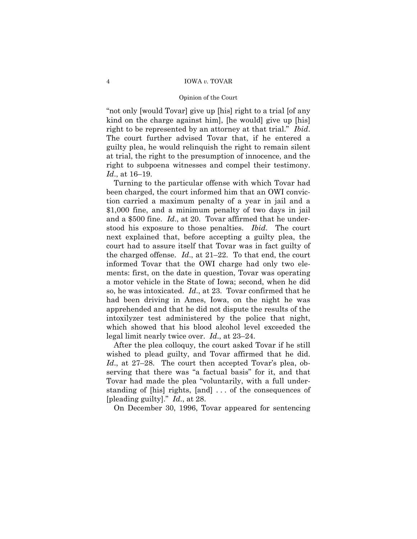#### Opinion of the Court

"not only [would Tovar] give up [his] right to a trial [of any kind on the charge against him], [he would] give up [his] right to be represented by an attorney at that trial." *Ibid.* The court further advised Tovar that, if he entered a guilty plea, he would relinquish the right to remain silent at trial, the right to the presumption of innocence, and the right to subpoena witnesses and compel their testimony. *Id.*, at 16–19.

Turning to the particular offense with which Tovar had been charged, the court informed him that an OWI conviction carried a maximum penalty of a year in jail and a \$1,000 fine, and a minimum penalty of two days in jail and a \$500 fine. *Id*., at 20. Tovar affirmed that he understood his exposure to those penalties. *Ibid*. The court next explained that, before accepting a guilty plea, the court had to assure itself that Tovar was in fact guilty of the charged offense.  $Id$ , at  $21-22$ . To that end, the court informed Tovar that the OWI charge had only two elements: first, on the date in question, Tovar was operating a motor vehicle in the State of Iowa; second, when he did so, he was intoxicated. *Id*., at 23. Tovar confirmed that he had been driving in Ames, Iowa, on the night he was apprehended and that he did not dispute the results of the intoxilyzer test administered by the police that night, which showed that his blood alcohol level exceeded the legal limit nearly twice over.  $Id$ , at  $23-24$ .

After the plea colloquy, the court asked Tovar if he still wished to plead guilty, and Tovar affirmed that he did. *Id.*, at 27–28. The court then accepted Tovar's plea, observing that there was "a factual basis" for it, and that Tovar had made the plea "voluntarily, with a full understanding of [his] rights, [and] . . . of the consequences of [pleading guilty].î *Id*., at 28.

On December 30, 1996, Tovar appeared for sentencing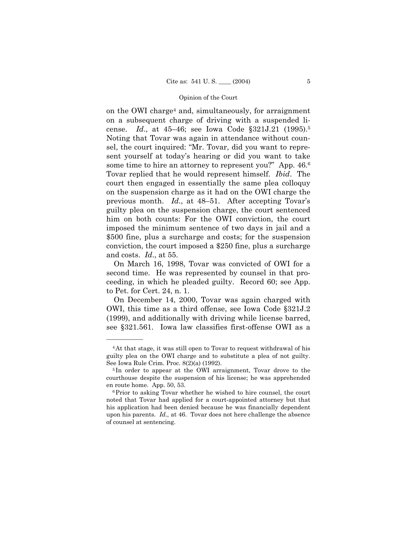on the OWI charge4 and, simultaneously, for arraignment on a subsequent charge of driving with a suspended license. *Id.*, at 45–46; see Iowa Code §321J.21 (1995).<sup>5</sup> Noting that Tovar was again in attendance without counsel, the court inquired: "Mr. Tovar, did you want to represent yourself at todayís hearing or did you want to take some time to hire an attorney to represent you?" App.  $46.6$ Tovar replied that he would represent himself. *Ibid*. The court then engaged in essentially the same plea colloquy on the suspension charge as it had on the OWI charge the previous month. *Id.*, at 48–51. After accepting Tovar's guilty plea on the suspension charge, the court sentenced him on both counts: For the OWI conviction, the court imposed the minimum sentence of two days in jail and a \$500 fine, plus a surcharge and costs; for the suspension conviction, the court imposed a \$250 fine, plus a surcharge and costs. *Id*., at 55.

On March 16, 1998, Tovar was convicted of OWI for a second time. He was represented by counsel in that proceeding, in which he pleaded guilty. Record 60; see App. to Pet. for Cert. 24, n. 1.

On December 14, 2000, Tovar was again charged with OWI, this time as a third offense, see Iowa Code ß321J.2 (1999), and additionally with driving while license barred, see ß321.561. Iowa law classifies first-offense OWI as a

<sup>4</sup>At that stage, it was still open to Tovar to request withdrawal of his guilty plea on the OWI charge and to substitute a plea of not guilty. See Iowa Rule Crim. Proc. 8(2)(a) (1992).

<sup>5</sup> In order to appear at the OWI arraignment, Tovar drove to the courthouse despite the suspension of his license; he was apprehended en route home. App. 50, 53.

<sup>6</sup>Prior to asking Tovar whether he wished to hire counsel, the court noted that Tovar had applied for a court-appointed attorney but that his application had been denied because he was financially dependent upon his parents. *Id.,* at 46. Tovar does not here challenge the absence of counsel at sentencing.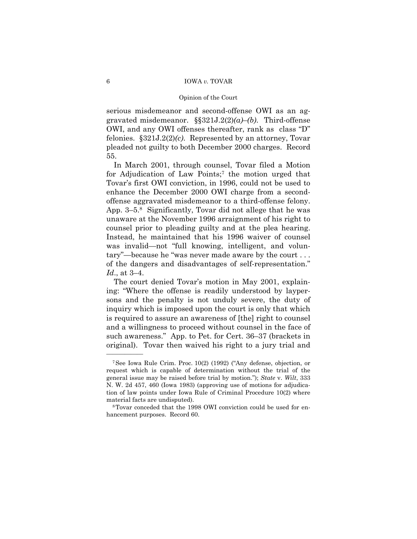serious misdemeanor and second-offense OWI as an aggravated misdemeanor.  $\S$  $321J.2(2)(a)$ *<sup>d</sup>* $(b)$ . Third-offense OWI, and any OWI offenses thereafter, rank as class "D" felonies. ß321J.2(2)*(c)*. Represented by an attorney, Tovar pleaded not guilty to both December 2000 charges. Record 55.

In March 2001, through counsel, Tovar filed a Motion for Adjudication of Law Points;7 the motion urged that Tovar's first OWI conviction, in 1996, could not be used to enhance the December 2000 OWI charge from a secondoffense aggravated misdemeanor to a third-offense felony. App.  $3-5.8$  Significantly, Tovar did not allege that he was unaware at the November 1996 arraignment of his right to counsel prior to pleading guilty and at the plea hearing. Instead, he maintained that his 1996 waiver of counsel was invalid—not "full knowing, intelligent, and voluntary"—because he "was never made aware by the court  $\dots$ of the dangers and disadvantages of self-representation.<sup>n</sup> *Id.*, at 3–4.

The court denied Tovar's motion in May 2001, explaining: "Where the offense is readily understood by laypersons and the penalty is not unduly severe, the duty of inquiry which is imposed upon the court is only that which is required to assure an awareness of [the] right to counsel and a willingness to proceed without counsel in the face of such awareness." App. to Pet. for Cert. 36–37 (brackets in original). Tovar then waived his right to a jury trial and

<sup>&</sup>lt;sup>7</sup>See Iowa Rule Crim. Proc.  $10(2)$  (1992) ("Any defense, objection, or request which is capable of determination without the trial of the general issue may be raised before trial by motion.î); *State* v. *Wilt*, 333 N. W. 2d 457, 460 (Iowa 1983) (approving use of motions for adjudication of law points under Iowa Rule of Criminal Procedure 10(2) where material facts are undisputed).

<sup>8</sup>Tovar conceded that the 1998 OWI conviction could be used for enhancement purposes. Record 60.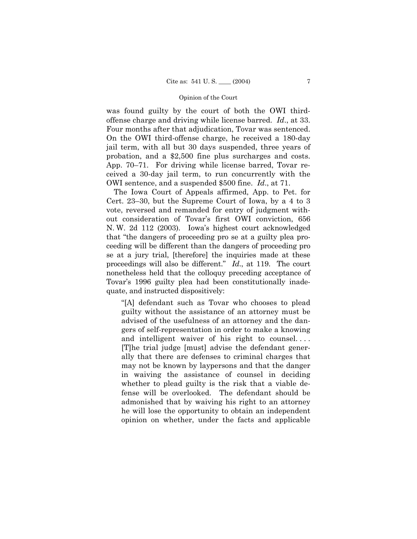was found guilty by the court of both the OWI thirdoffense charge and driving while license barred. *Id*., at 33. Four months after that adjudication, Tovar was sentenced. On the OWI third-offense charge, he received a 180-day jail term, with all but 30 days suspended, three years of probation, and a \$2,500 fine plus surcharges and costs. App.  $70-71$ . For driving while license barred, Tovar received a 30-day jail term, to run concurrently with the OWI sentence, and a suspended \$500 fine. *Id*., at 71.

The Iowa Court of Appeals affirmed, App. to Pet. for Cert. 23–30, but the Supreme Court of Iowa, by a 4 to 3 vote, reversed and remanded for entry of judgment without consideration of Tovar's first OWI conviction, 656 N. W. 2d 112 (2003). Iowaís highest court acknowledged that "the dangers of proceeding pro se at a guilty plea proceeding will be different than the dangers of proceeding pro se at a jury trial, [therefore] the inquiries made at these proceedings will also be different." *Id.*, at 119. The court nonetheless held that the colloquy preceding acceptance of Tovar's 1996 guilty plea had been constitutionally inadequate, and instructed dispositively:

ì[A] defendant such as Tovar who chooses to plead guilty without the assistance of an attorney must be advised of the usefulness of an attorney and the dangers of self-representation in order to make a knowing and intelligent waiver of his right to counsel. . . . [T]he trial judge [must] advise the defendant generally that there are defenses to criminal charges that may not be known by laypersons and that the danger in waiving the assistance of counsel in deciding whether to plead guilty is the risk that a viable defense will be overlooked. The defendant should be admonished that by waiving his right to an attorney he will lose the opportunity to obtain an independent opinion on whether, under the facts and applicable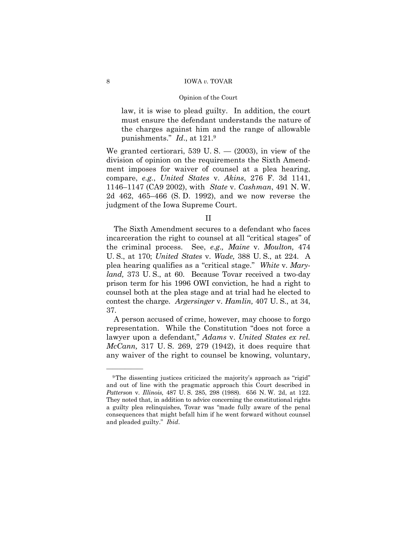law, it is wise to plead guilty. In addition, the court must ensure the defendant understands the nature of the charges against him and the range of allowable punishments.î *Id*., at 121.9

We granted certiorari, 539 U.S.  $-$  (2003), in view of the division of opinion on the requirements the Sixth Amendment imposes for waiver of counsel at a plea hearing, compare, *e.g.*, *United States* v. *Akins*, 276 F. 3d 1141, 1146-1147 (CA9 2002), with *State* v. *Cashman*, 491 N. W. 2d 462, 465–466 (S.D. 1992), and we now reverse the judgment of the Iowa Supreme Court.

# II

The Sixth Amendment secures to a defendant who faces incarceration the right to counsel at all "critical stages" of the criminal process. See, *e.g*.*, Maine* v. *Moulton,* 474 U. S., at 170; *United States* v. *Wade,* 388 U. S., at 224. A plea hearing qualifies as a "critical stage." White v. Mary*land,* 373 U. S., at 60. Because Tovar received a two-day prison term for his 1996 OWI conviction, he had a right to counsel both at the plea stage and at trial had he elected to contest the charge. *Argersinger* v. *Hamlin,* 407 U. S., at 34, 37.

A person accused of crime, however, may choose to forgo representation. While the Constitution "does not force a lawyer upon a defendant," Adams v. United States ex rel. *McCann,* 317 U. S. 269, 279 (1942), it does require that any waiver of the right to counsel be knowing, voluntary,

<sup>&</sup>lt;sup>9</sup>The dissenting justices criticized the majority's approach as "rigid" and out of line with the pragmatic approach this Court described in *Patterson* v. *Illinois,* 487 U. S. 285, 298 (1988). 656 N. W. 2d, at 122. They noted that, in addition to advice concerning the constitutional rights a guilty plea relinquishes, Tovar was "made fully aware of the penal consequences that might befall him if he went forward without counsel and pleaded guilty.î *Ibid*.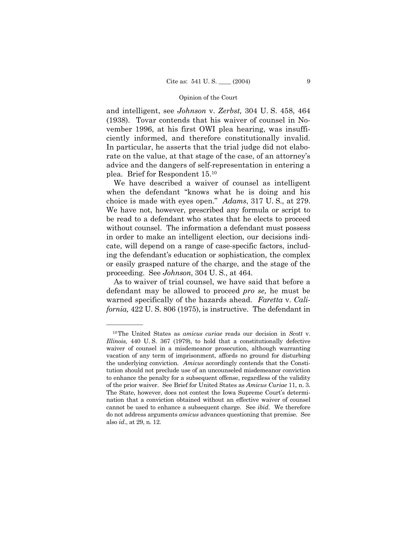and intelligent, see *Johnson* v. *Zerbst,* 304 U. S. 458, 464 (1938). Tovar contends that his waiver of counsel in November 1996, at his first OWI plea hearing, was insufficiently informed, and therefore constitutionally invalid. In particular, he asserts that the trial judge did not elaborate on the value, at that stage of the case, of an attorney's advice and the dangers of self-representation in entering a plea. Brief for Respondent 15.10

We have described a waiver of counsel as intelligent when the defendant "knows what he is doing and his choice is made with eyes open.î *Adams*, 317 U. S., at 279. We have not, however, prescribed any formula or script to be read to a defendant who states that he elects to proceed without counsel. The information a defendant must possess in order to make an intelligent election, our decisions indicate, will depend on a range of case-specific factors, including the defendant's education or sophistication, the complex or easily grasped nature of the charge, and the stage of the proceeding. See *Johnson*, 304 U. S., at 464.

As to waiver of trial counsel, we have said that before a defendant may be allowed to proceed *pro se,* he must be warned specifically of the hazards ahead. *Faretta* v. *California,* 422 U. S. 806 (1975), is instructive. The defendant in

<sup>10</sup>The United States as *amicus curiae* reads our decision in *Scott* v. *Illinois,* 440 U. S. 367 (1979), to hold that a constitutionally defective waiver of counsel in a misdemeanor prosecution, although warranting vacation of any term of imprisonment, affords no ground for disturbing the underlying conviction. *Amicus* accordingly contends that the Constitution should not preclude use of an uncounseled misdemeanor conviction to enhance the penalty for a subsequent offense, regardless of the validity of the prior waiver. See Brief for United States as *Amicus Curiae* 11, n. 3. The State, however, does not contest the Iowa Supreme Court's determination that a conviction obtained without an effective waiver of counsel cannot be used to enhance a subsequent charge. See *ibid*. We therefore do not address arguments *amicus* advances questioning that premise. See also *id*., at 29, n. 12.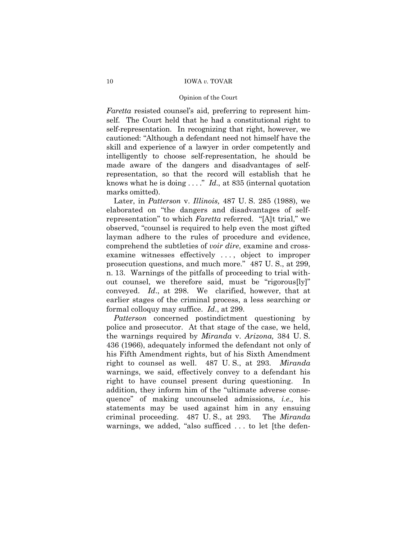### Opinion of the Court

*Faretta* resisted counsel's aid, preferring to represent himself. The Court held that he had a constitutional right to self-representation. In recognizing that right, however, we cautioned: "Although a defendant need not himself have the skill and experience of a lawyer in order competently and intelligently to choose self-representation, he should be made aware of the dangers and disadvantages of selfrepresentation, so that the record will establish that he knows what he is doing  $\dots$ ." *Id.*, at 835 (internal quotation marks omitted).

Later, in *Patterson* v. *Illinois,* 487 U. S. 285 (1988), we elaborated on "the dangers and disadvantages of selfrepresentation" to which *Faretta* referred. "[A]t trial," we observed, "counsel is required to help even the most gifted layman adhere to the rules of procedure and evidence, comprehend the subtleties of *voir dire*, examine and crossexamine witnesses effectively . . . , object to improper prosecution questions, and much more." 487 U.S., at 299, n. 13. Warnings of the pitfalls of proceeding to trial without counsel, we therefore said, must be "rigorous $[ly]$ " conveyed. *Id*., at 298. We clarified, however, that at earlier stages of the criminal process, a less searching or formal colloquy may suffice. *Id*., at 299.

*Patterson* concerned postindictment questioning by police and prosecutor. At that stage of the case, we held, the warnings required by *Miranda* v. *Arizona,* 384 U. S. 436 (1966), adequately informed the defendant not only of his Fifth Amendment rights, but of his Sixth Amendment right to counsel as well. 487 U. S., at 293. *Miranda* warnings, we said, effectively convey to a defendant his right to have counsel present during questioning. In addition, they inform him of the "ultimate adverse consequenceî of making uncounseled admissions, *i.e.,* his statements may be used against him in any ensuing criminal proceeding. 487 U. S., at 293. The *Miranda* warnings, we added, "also sufficed . . . to let [the defen-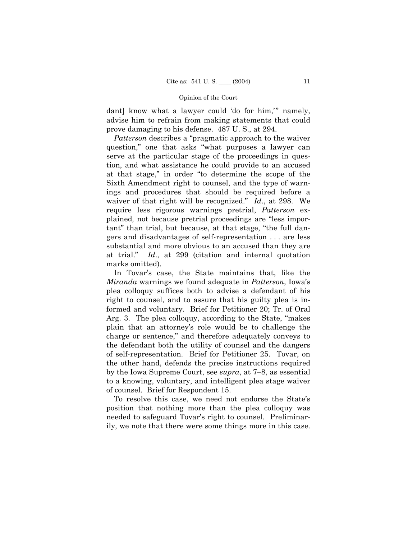dant] know what a lawyer could 'do for him,'" namely, advise him to refrain from making statements that could prove damaging to his defense. 487 U. S., at 294.

*Patterson* describes a "pragmatic approach to the waiver question," one that asks "what purposes a lawyer can serve at the particular stage of the proceedings in question, and what assistance he could provide to an accused at that stage," in order "to determine the scope of the Sixth Amendment right to counsel, and the type of warnings and procedures that should be required before a waiver of that right will be recognized." *Id.*, at 298. We require less rigorous warnings pretrial, *Patterson* explained, not because pretrial proceedings are "less important" than trial, but because, at that stage, "the full dangers and disadvantages of self-representation . . . are less substantial and more obvious to an accused than they are at trial.î *Id*., at 299 (citation and internal quotation marks omitted).

In Tovar's case, the State maintains that, like the *Miranda* warnings we found adequate in *Patterson*, Iowaís plea colloquy suffices both to advise a defendant of his right to counsel, and to assure that his guilty plea is informed and voluntary. Brief for Petitioner 20; Tr. of Oral Arg. 3. The plea colloquy, according to the State, "makes" plain that an attorneyís role would be to challenge the charge or sentence," and therefore adequately conveys to the defendant both the utility of counsel and the dangers of self-representation. Brief for Petitioner 25. Tovar, on the other hand, defends the precise instructions required by the Iowa Supreme Court, see *supra*, at 7–8, as essential to a knowing, voluntary, and intelligent plea stage waiver of counsel. Brief for Respondent 15.

To resolve this case, we need not endorse the Stateís position that nothing more than the plea colloquy was needed to safeguard Tovar's right to counsel. Preliminarily, we note that there were some things more in this case.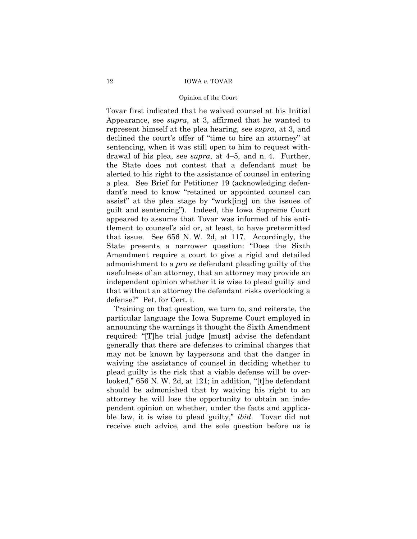### Opinion of the Court

Tovar first indicated that he waived counsel at his Initial Appearance, see *supra*, at 3, affirmed that he wanted to represent himself at the plea hearing, see *supra*, at 3, and declined the court's offer of "time to hire an attorney" at sentencing, when it was still open to him to request withdrawal of his plea, see *supra*, at 4–5, and n. 4. Further, the State does not contest that a defendant must be alerted to his right to the assistance of counsel in entering a plea. See Brief for Petitioner 19 (acknowledging defendant's need to know "retained or appointed counsel can assist" at the plea stage by "work[ing] on the issues of guilt and sentencingî). Indeed, the Iowa Supreme Court appeared to assume that Tovar was informed of his entitlement to counselís aid or, at least, to have pretermitted that issue. See 656 N. W. 2d, at 117. Accordingly, the State presents a narrower question: "Does the Sixth Amendment require a court to give a rigid and detailed admonishment to a *pro se* defendant pleading guilty of the usefulness of an attorney, that an attorney may provide an independent opinion whether it is wise to plead guilty and that without an attorney the defendant risks overlooking a defense?î Pet. for Cert. i.

Training on that question, we turn to, and reiterate, the particular language the Iowa Supreme Court employed in announcing the warnings it thought the Sixth Amendment required: "[T]he trial judge [must] advise the defendant generally that there are defenses to criminal charges that may not be known by laypersons and that the danger in waiving the assistance of counsel in deciding whether to plead guilty is the risk that a viable defense will be overlooked," 656 N. W. 2d, at 121; in addition, "[t]he defendant should be admonished that by waiving his right to an attorney he will lose the opportunity to obtain an independent opinion on whether, under the facts and applicable law, it is wise to plead guilty," *ibid*. Tovar did not receive such advice, and the sole question before us is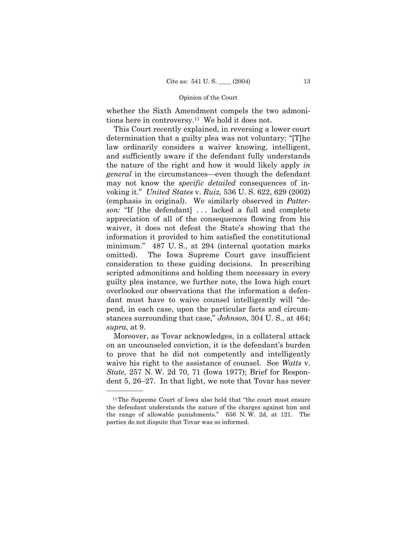whether the Sixth Amendment compels the two admonitions here in controversy.11 We hold it does not.

This Court recently explained, in reversing a lower court determination that a guilty plea was not voluntary: " $[T]$ he law ordinarily considers a waiver knowing, intelligent, and sufficiently aware if the defendant fully understands the nature of the right and how it would likely apply *in general* in the circumstances—even though the defendant may not know the *specific detailed* consequences of invoking it.î *United States* v. *Ruiz,* 536 U. S. 622, 629 (2002) (emphasis in original). We similarly observed in *Patterson:* "If [the defendant] ... lacked a full and complete appreciation of all of the consequences flowing from his waiver, it does not defeat the State's showing that the information it provided to him satisfied the constitutional minimum." 487 U.S., at 294 (internal quotation marks omitted). The Iowa Supreme Court gave insufficient consideration to these guiding decisions. In prescribing scripted admonitions and holding them necessary in every guilty plea instance, we further note, the Iowa high court overlooked our observations that the information a defendant must have to waive counsel intelligently will "depend, in each case, upon the particular facts and circumstances surrounding that case," *Johnson*, 304 U.S., at 464; *supra*, at 9.

Moreover, as Tovar acknowledges, in a collateral attack on an uncounseled conviction, it is the defendant's burden to prove that he did not competently and intelligently waive his right to the assistance of counsel. See *Watts* v. *State*, 257 N. W. 2d 70, 71 (Iowa 1977); Brief for Respondent  $5, 26-27$ . In that light, we note that Tovar has never

 $11$ The Supreme Court of Iowa also held that "the court must ensure the defendant understands the nature of the charges against him and the range of allowable punishments." 656 N.W. 2d, at 121. The parties do not dispute that Tovar was so informed.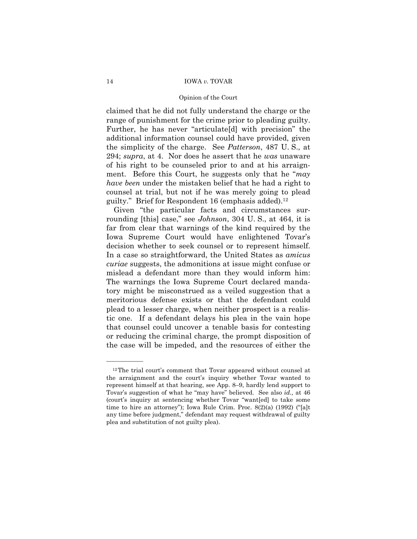### Opinion of the Court

claimed that he did not fully understand the charge or the range of punishment for the crime prior to pleading guilty. Further, he has never "articulate[d] with precision" the additional information counsel could have provided, given the simplicity of the charge. See *Patterson*, 487 U. S., at 294; *supra*, at 4. Nor does he assert that he *was* unaware of his right to be counseled prior to and at his arraignment. Before this Court, he suggests only that he *<sup><i>may*</sup></sup> *have been* under the mistaken belief that he had a right to counsel at trial, but not if he was merely going to plead guilty." Brief for Respondent 16 (emphasis added).<sup>12</sup>

Given "the particular facts and circumstances surrounding [this] case," see *Johnson*, 304 U.S., at 464, it is far from clear that warnings of the kind required by the Iowa Supreme Court would have enlightened Tovar's decision whether to seek counsel or to represent himself. In a case so straightforward, the United States as *amicus curiae* suggests, the admonitions at issue might confuse or mislead a defendant more than they would inform him: The warnings the Iowa Supreme Court declared mandatory might be misconstrued as a veiled suggestion that a meritorious defense exists or that the defendant could plead to a lesser charge, when neither prospect is a realistic one. If a defendant delays his plea in the vain hope that counsel could uncover a tenable basis for contesting or reducing the criminal charge, the prompt disposition of the case will be impeded, and the resources of either the

 $12$ The trial court's comment that Tovar appeared without counsel at the arraignment and the court's inquiry whether Tovar wanted to represent himself at that hearing, see App. 8–9, hardly lend support to Tovar's suggestion of what he "may have" believed. See also *id.*, at 46 (court's inquiry at sentencing whether Tovar "want[ed] to take some time to hire an attorney"); Iowa Rule Crim. Proc.  $8(2)(a)$  (1992) ("[a]t any time before judgment," defendant may request withdrawal of guilty plea and substitution of not guilty plea).